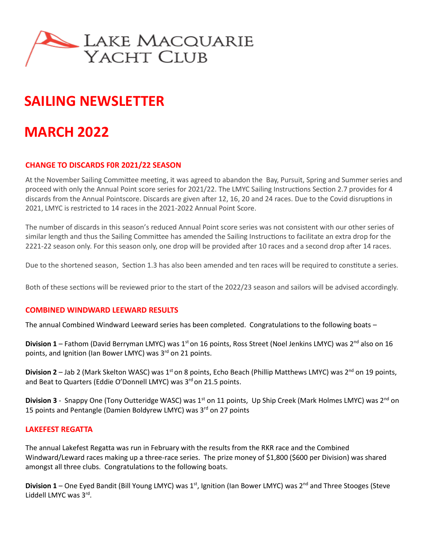

# **SAILING NEWSLETTER**

# **MARCH 2022**

# **CHANGE TO DISCARDS F0R 2021/22 SEASON**

At the November Sailing Committee meeting, it was agreed to abandon the Bay, Pursuit, Spring and Summer series and proceed with only the Annual Point score series for 2021/22. The LMYC Sailing Instructions Section 2.7 provides for 4 discards from the Annual Pointscore. Discards are given after 12, 16, 20 and 24 races. Due to the Covid disruptions in 2021, LMYC is restricted to 14 races in the 2021-2022 Annual Point Score.

The number of discards in this season's reduced Annual Point score series was not consistent with our other series of similar length and thus the Sailing Committee has amended the Sailing Instructions to facilitate an extra drop for the 2221-22 season only. For this season only, one drop will be provided after 10 races and a second drop after 14 races.

Due to the shortened season, Section 1.3 has also been amended and ten races will be required to constitute a series.

Both of these sections will be reviewed prior to the start of the 2022/23 season and sailors will be advised accordingly.

# **COMBINED WINDWARD LEEWARD RESULTS**

The annual Combined Windward Leeward series has been completed. Congratulations to the following boats –

**Division 1** – Fathom (David Berryman LMYC) was 1<sup>st</sup> on 16 points, Ross Street (Noel Jenkins LMYC) was 2<sup>nd</sup> also on 16 points, and Ignition (Ian Bower LMYC) was 3<sup>rd</sup> on 21 points.

**Division 2** – Jab 2 (Mark Skelton WASC) was 1<sup>st</sup> on 8 points, Echo Beach (Phillip Matthews LMYC) was 2<sup>nd</sup> on 19 points, and Beat to Quarters (Eddie O'Donnell LMYC) was  $3<sup>rd</sup>$  on 21.5 points.

**Division 3** - Snappy One (Tony Outteridge WASC) was 1<sup>st</sup> on 11 points, Up Ship Creek (Mark Holmes LMYC) was 2<sup>nd</sup> on 15 points and Pentangle (Damien Boldyrew LMYC) was  $3<sup>rd</sup>$  on 27 points

# **LAKEFEST REGATTA**

The annual Lakefest Regatta was run in February with the results from the RKR race and the Combined Windward/Leward races making up a three-race series. The prize money of \$1,800 (\$600 per Division) was shared amongst all three clubs. Congratulations to the following boats.

Division 1 – One Eyed Bandit (Bill Young LMYC) was 1<sup>st</sup>, Ignition (Ian Bower LMYC) was 2<sup>nd</sup> and Three Stooges (Steve Liddell LMYC was 3rd.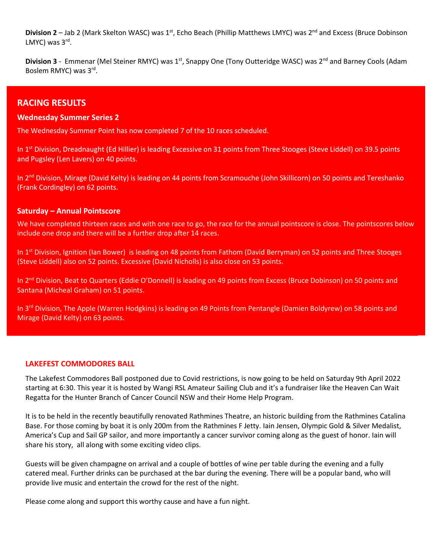**Division 2** – Jab 2 (Mark Skelton WASC) was 1<sup>st</sup>, Echo Beach (Phillip Matthews LMYC) was 2<sup>nd</sup> and Excess (Bruce Dobinson LMYC) was 3rd.

**Division 3** - Emmenar (Mel Steiner RMYC) was 1<sup>st</sup>, Snappy One (Tony Outteridge WASC) was 2<sup>nd</sup> and Barney Cools (Adam Boslem RMYC) was 3rd.

# **RACING RESULTS**

#### **Wednesday Summer Series 2**

The Wednesday Summer Point has now completed 7 of the 10 races scheduled.

In 1<sup>st</sup> Division, Dreadnaught (Ed Hillier) is leading Excessive on 31 points from Three Stooges (Steve Liddell) on 39.5 points and Pugsley (Len Lavers) on 40 points.

In 2<sup>nd</sup> Division, Mirage (David Kelty) is leading on 44 points from Scramouche (John Skillicorn) on 50 points and Tereshanko (Frank Cordingley) on 62 points.

#### **Saturday – Annual Pointscore**

We have completed thirteen races and with one race to go, the race for the annual pointscore is close. The pointscores below include one drop and there will be a further drop after 14 races.

In 1<sup>st</sup> Division, Ignition (Ian Bower) is leading on 48 points from Fathom (David Berryman) on 52 points and Three Stooges (Steve Liddell) also on 52 points. Excessive (David Nicholls) is also close on 53 points.

In 2<sup>nd</sup> Division, Beat to Quarters (Eddie O'Donnell) is leading on 49 points from Excess (Bruce Dobinson) on 50 points and Santana (Micheal Graham) on 51 points.

In 3<sup>rd</sup> Division, The Apple (Warren Hodgkins) is leading on 49 Points from Pentangle (Damien Boldyrew) on 58 points and Mirage (David Kelty) on 63 points.

#### **LAKEFEST COMMODORES BALL**

The Lakefest Commodores Ball postponed due to Covid restrictions, is now going to be held on Saturday 9th April 2022 starting at 6:30. This year it is hosted by Wangi RSL Amateur Sailing Club and it's a fundraiser like the Heaven Can Wait Regatta for the Hunter Branch of Cancer Council NSW and their Home Help Program.

It is to be held in the recently beautifully renovated Rathmines Theatre, an historic building from the Rathmines Catalina Base. For those coming by boat it is only 200m from the Rathmines F Jetty. Iain Jensen, Olympic Gold & Silver Medalist, America's Cup and Sail GP sailor, and more importantly a cancer survivor coming along as the guest of honor. Iain will share his story, all along with some exciting video clips.

Guests will be given champagne on arrival and a couple of bottles of wine per table during the evening and a fully catered meal. Further drinks can be purchased at the bar during the evening. There will be a popular band, who will provide live music and entertain the crowd for the rest of the night.

Please come along and support this worthy cause and have a fun night.